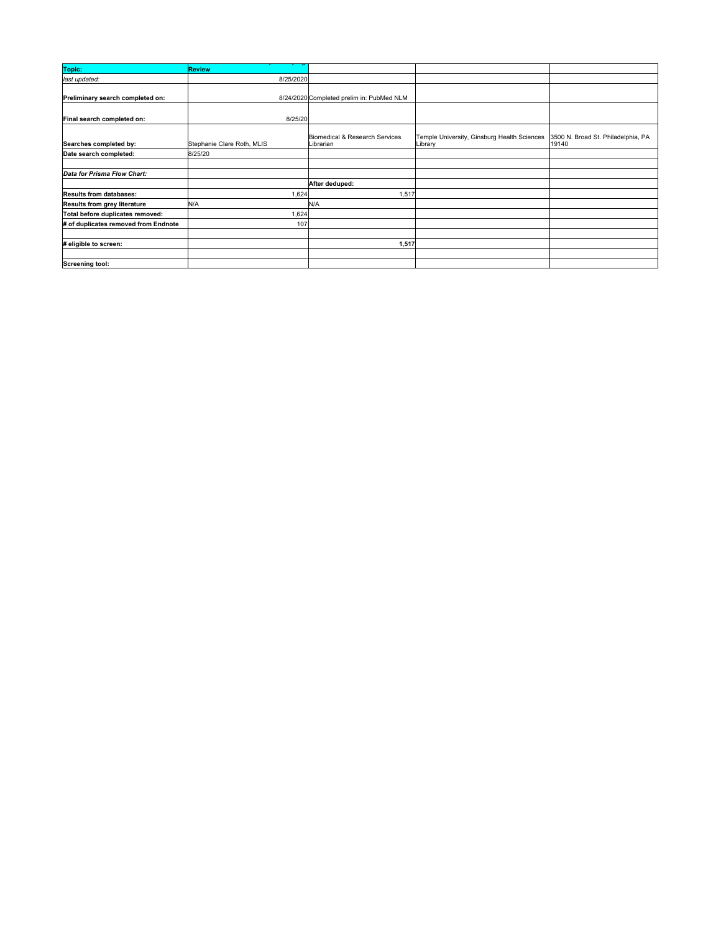| Topic:                               | <b>Review</b>              |                                             |                                                        |                                             |
|--------------------------------------|----------------------------|---------------------------------------------|--------------------------------------------------------|---------------------------------------------|
| last updated:                        | 8/25/2020                  |                                             |                                                        |                                             |
|                                      |                            |                                             |                                                        |                                             |
| Preliminary search completed on:     |                            | 8/24/2020 Completed prelim in: PubMed NLM   |                                                        |                                             |
|                                      |                            |                                             |                                                        |                                             |
| Final search completed on:           | 8/25/20                    |                                             |                                                        |                                             |
|                                      |                            |                                             |                                                        |                                             |
| Searches completed by:               | Stephanie Clare Roth, MLIS | Biomedical & Research Services<br>Librarian | Temple University, Ginsburg Health Sciences<br>Library | 3500 N. Broad St. Philadelphia, PA<br>19140 |
|                                      |                            |                                             |                                                        |                                             |
| Date search completed:               | 8/25/20                    |                                             |                                                        |                                             |
|                                      |                            |                                             |                                                        |                                             |
| Data for Prisma Flow Chart:          |                            |                                             |                                                        |                                             |
|                                      |                            | After deduped:                              |                                                        |                                             |
| <b>Results from databases:</b>       | 1,624                      | 1,517                                       |                                                        |                                             |
| Results from grey literature         | N/A                        | N/A                                         |                                                        |                                             |
| Total before duplicates removed:     | 1,624                      |                                             |                                                        |                                             |
| # of duplicates removed from Endnote | 107                        |                                             |                                                        |                                             |
|                                      |                            |                                             |                                                        |                                             |
| # eligible to screen:                |                            | 1,517                                       |                                                        |                                             |
|                                      |                            |                                             |                                                        |                                             |
| Screening tool:                      |                            |                                             |                                                        |                                             |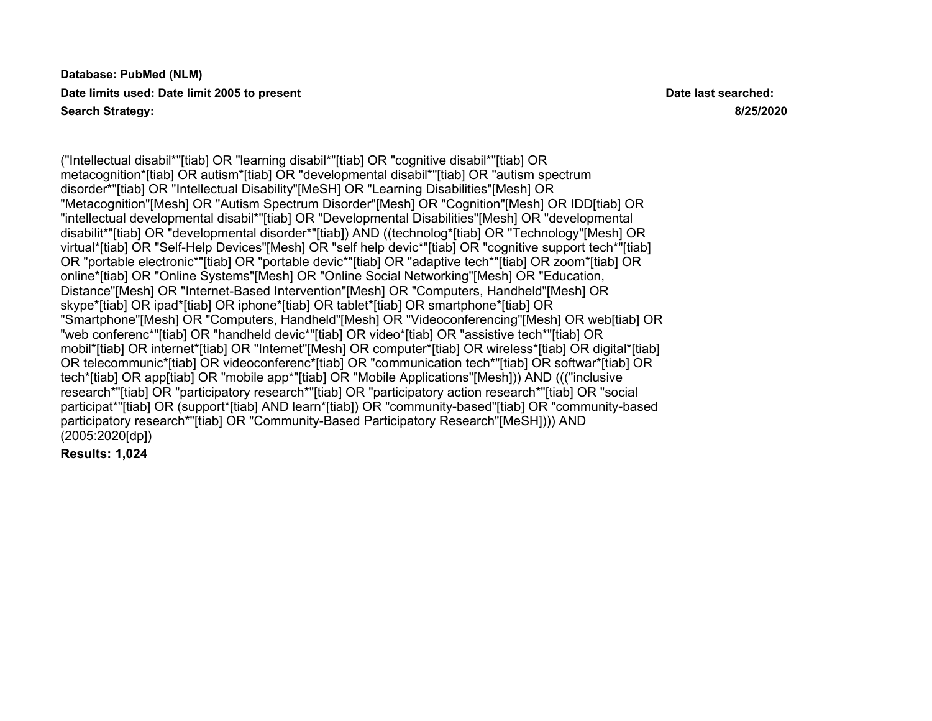**Database: PubMed (NLM) Date limits used: Date limit 2005 to present Date last searched: Search Strategy: 8/25/2020**

("Intellectual disabil\*"[tiab] OR "learning disabil\*"[tiab] OR "cognitive disabil\*"[tiab] OR metacognition\*[tiab] OR autism\*[tiab] OR "developmental disabil\*"[tiab] OR "autism spectrum disorder\*"[tiab] OR "Intellectual Disability"[MeSH] OR "Learning Disabilities"[Mesh] OR "Metacognition"[Mesh] OR "Autism Spectrum Disorder"[Mesh] OR "Cognition"[Mesh] OR IDD[tiab] OR "intellectual developmental disabil\*"[tiab] OR "Developmental Disabilities"[Mesh] OR "developmental disabilit\*"[tiab] OR "developmental disorder\*"[tiab]) AND ((technolog\*[tiab] OR "Technology"[Mesh] OR virtual\*[tiab] OR "Self-Help Devices"[Mesh] OR "self help devic\*"[tiab] OR "cognitive support tech\*"[tiab] OR "portable electronic\*"[tiab] OR "portable devic\*"[tiab] OR "adaptive tech\*"[tiab] OR zoom\*[tiab] OR online\*[tiab] OR "Online Systems"[Mesh] OR "Online Social Networking"[Mesh] OR "Education, Distance"[Mesh] OR "Internet-Based Intervention"[Mesh] OR "Computers, Handheld"[Mesh] OR skype\*[tiab] OR ipad\*[tiab] OR iphone\*[tiab] OR tablet\*[tiab] OR smartphone\*[tiab] OR "Smartphone"[Mesh] OR "Computers, Handheld"[Mesh] OR "Videoconferencing"[Mesh] OR web[tiab] OR "web conferenc\*"[tiab] OR "handheld devic\*"[tiab] OR video\*[tiab] OR "assistive tech\*"[tiab] OR mobil\*[tiab] OR internet\*[tiab] OR "Internet"[Mesh] OR computer\*[tiab] OR wireless\*[tiab] OR digital\*[tiab] OR telecommunic\*[tiab] OR videoconferenc\*[tiab] OR "communication tech\*"[tiab] OR softwar\*[tiab] OR tech\*[tiab] OR app[tiab] OR "mobile app\*"[tiab] OR "Mobile Applications"[Mesh])) AND ((("inclusive research\*"[tiab] OR "participatory research\*"[tiab] OR "participatory action research\*"[tiab] OR "social participat\*"[tiab] OR (support\*[tiab] AND learn\*[tiab]) OR "community-based"[tiab] OR "community-based participatory research\*"[tiab] OR "Community-Based Participatory Research"[MeSH]))) AND (2005:2020[dp])

**Results: 1,024**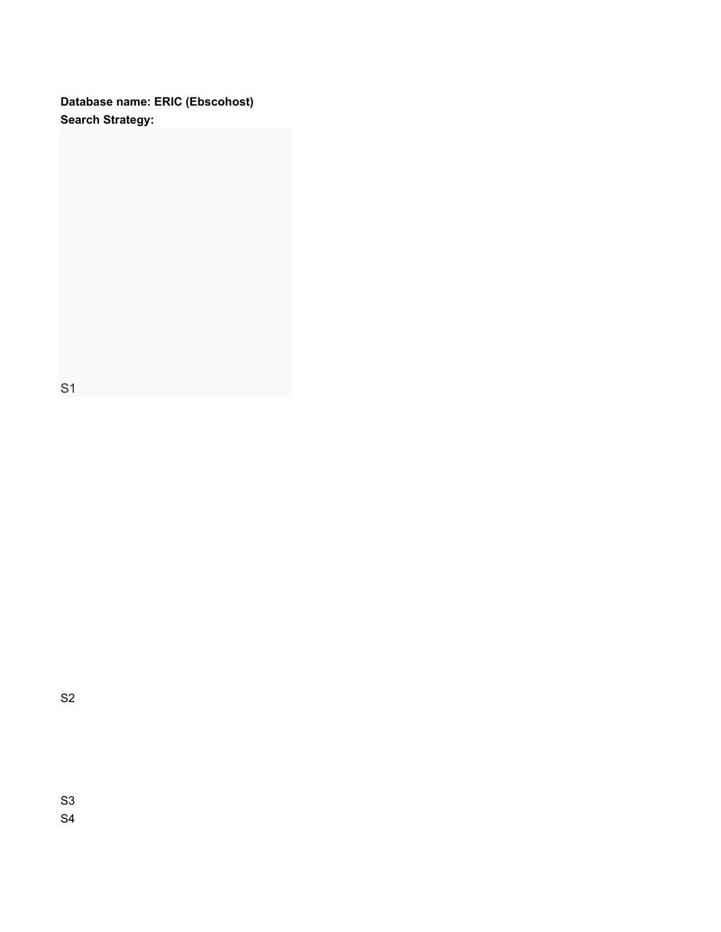**Database name: ERIC (Ebscohost) Search Strategy:**

S1

S2

S3 S4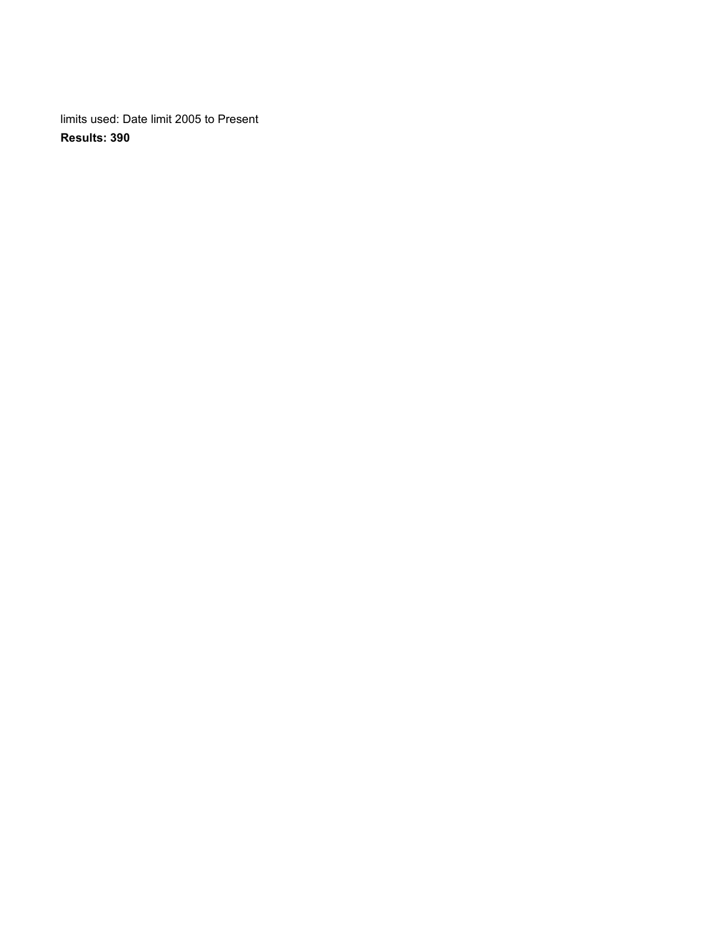limits used: Date limit 2005 to Present **Results: 390**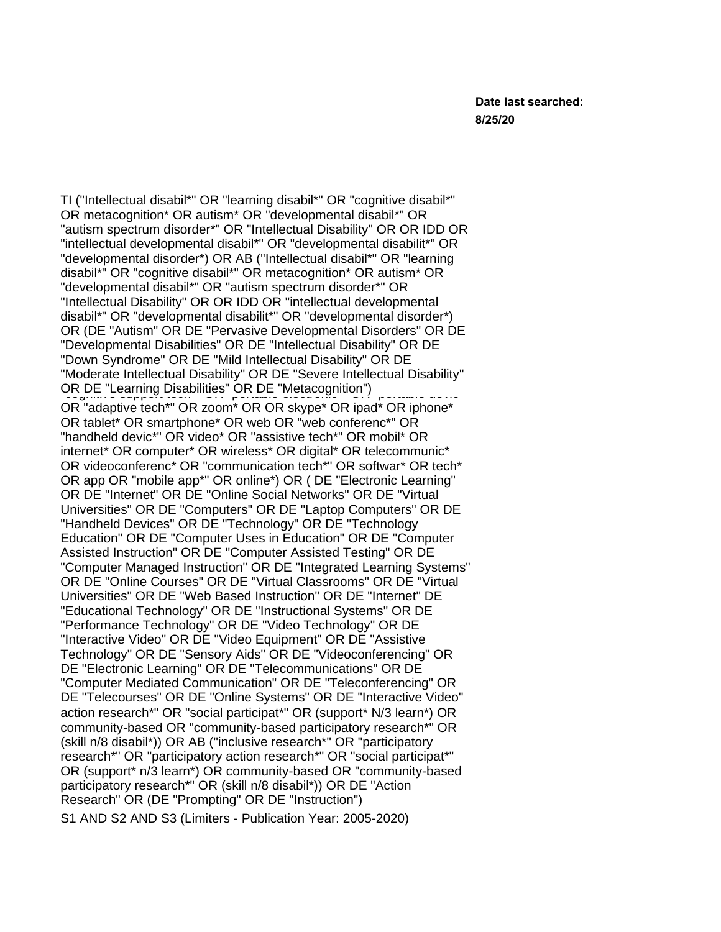TI ("Intellectual disabil\*" OR "learning disabil\*" OR "cognitive disabil\*" OR metacognition\* OR autism\* OR "developmental disabil\*" OR "autism spectrum disorder\*" OR "Intellectual Disability" OR OR IDD OR "intellectual developmental disabil\*" OR "developmental disabilit\*" OR "developmental disorder\*) OR AB ("Intellectual disabil\*" OR "learning disabil\*" OR "cognitive disabil\*" OR metacognition\* OR autism\* OR<br>" "developmental disabil\*" OR "autism spectrum disorder\*" OR<br>"both" or "portable electronic" or "portable device" or "adaptive" or "portable device" "Intellectual Disability" OR OR IDD OR "intellectual developmental" disabil\*" OR "developmental disabilit\*" OR "developmental disorder\*)<br>OR OR WALL WOR DE WE OR (DE "Autism" OR DE "Pervasive Developmental Disorders" OR DE "Developmental Disabilities" OR DE "Intellectual Disability" OR DE "Down Syndrome" OR DE "Mild Intellectual Disability" OR DE<br>"identity" or the communication technology of the communication technology of the communication technology in "Moderate Intellectual Disability" OR DE "Severe Intellectual Disability" OR DE "Learning Disabilities" OR DE "Metacognition")<br>"cognitive" or portable electronic portable electronic portable sont OR "adaptive tech\*" OR zoom\* OR OR skype\* OR ipad\* OR iphone\* OR tablet\* OR smartphone\* OR web OR "web conferenc\*" OR "handheld devic\*" OR video\* OR "assistive tech\*" OR mobil\* OR internet\* OR computer\* OR wireless\* OR digital\* OR telecommunic\* OR videoconferenc\* OR "communication tech\*" OR softwar\* OR tech\* OR app OR "mobile app\*" OR online\*) OR ( DE "Electronic Learning" OR DE "Internet" OR DE "Online Social Networks" OR DE "Virtual Universities" OR DE "Computers" OR DE "Laptop Computers" OR DE "Handheld Devices" OR DE "Technology" OR DE "Technology Education" OR DE "Computer Uses in Education" OR DE "Computer Assisted Instruction" OR DE "Computer Assisted Testing" OR DE "Computer Managed Instruction" OR DE "Integrated Learning Systems" OR DE "Online Courses" OR DE "Virtual Classrooms" OR DE "Virtual Universities" OR DE "Web Based Instruction" OR DE "Internet" DE "Educational Technology" OR DE "Instructional Systems" OR DE "Performance Technology" OR DE "Video Technology" OR DE "Interactive Video" OR DE "Video Equipment" OR DE "Assistive Technology" OR DE "Sensory Aids" OR DE "Videoconferencing" OR DE "Electronic Learning" OR DE "Telecommunications" OR DE "Computer Mediated Communication" OR DE "Teleconferencing" OR DE "Telecourses" OR DE "Online Systems" OR DE "Interactive Video" action research\*" OR "social participat\*" OR (support\* N/3 learn\*) OR community-based OR "community-based participatory research\*" OR (skill n/8 disabil\*)) OR AB ("inclusive research\*" OR "participatory research\*" OR "participatory action research\*" OR "social participat\*" OR (support\* n/3 learn\*) OR community-based OR "community-based participatory research\*" OR (skill n/8 disabil\*)) OR DE "Action Research" OR (DE "Prompting" OR DE "Instruction")

S1 AND S2 AND S3 (Limiters - Publication Year: 2005-2020)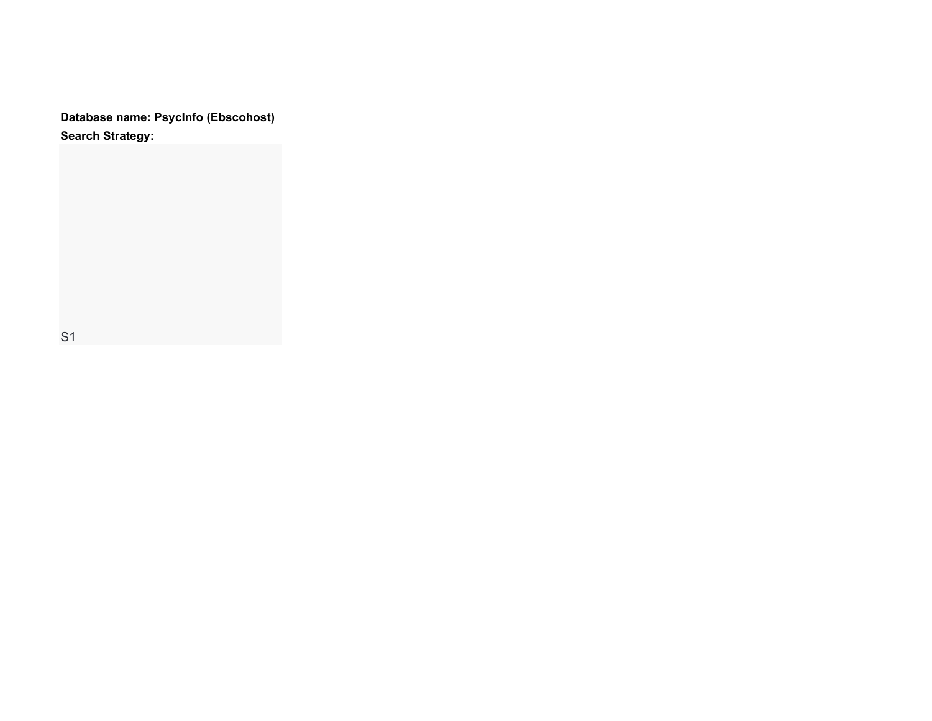**Database name: PsycInfo (Ebscohost) Search Strategy:**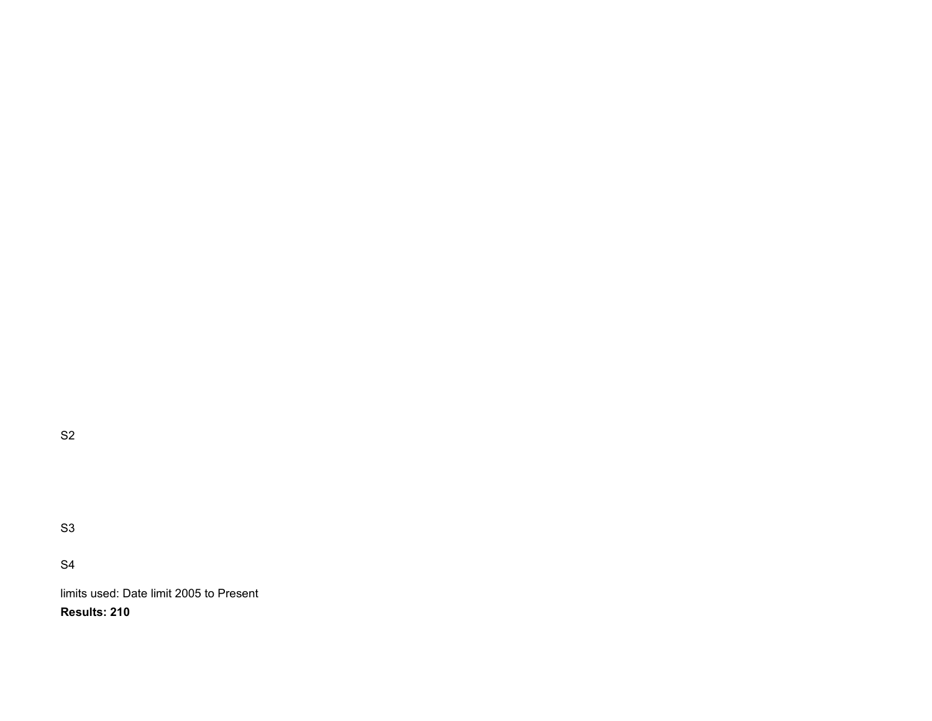S2

S3

S4

limits used: Date limit 2005 to Present **Results: 210**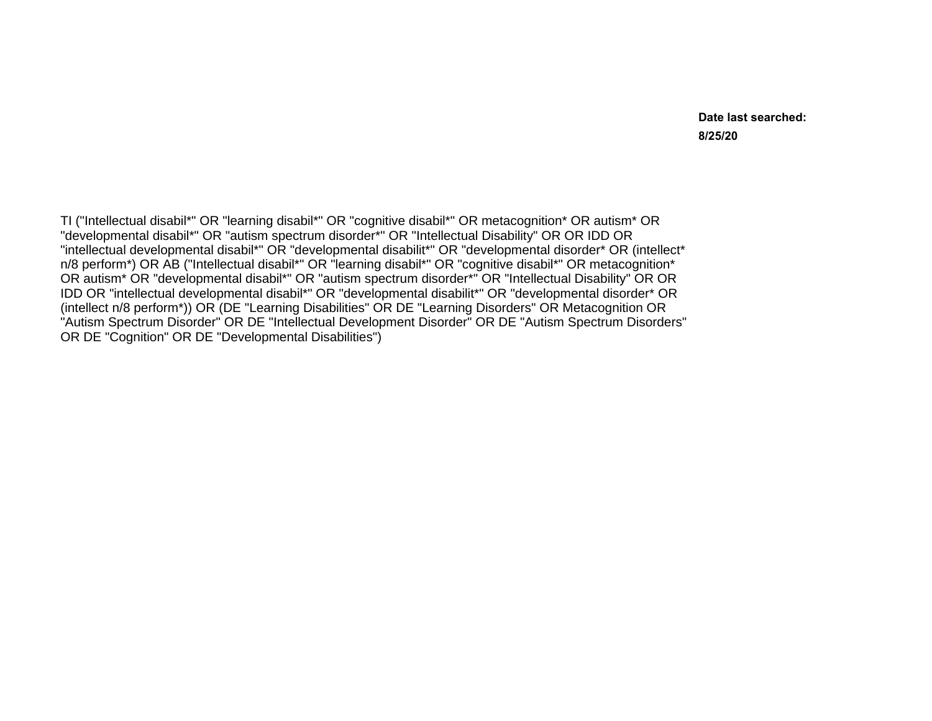**Date last searched: 8/25/20**

TI ("Intellectual disabil\*" OR "learning disabil\*" OR "cognitive disabil\*" OR metacognition\* OR autism\* OR "developmental disabil\*" OR "autism spectrum disorder\*" OR "Intellectual Disability" OR OR IDD OR "intellectual developmental disabil\*" OR "developmental disabilit\*" OR "developmental disorder\* OR (intellect\* n/8 perform\*) OR AB ("Intellectual disabil\*" OR "learning disabil\*" OR "cognitive disabil\*" OR metacognition\* OR autism\* OR "developmental disabil\*" OR "autism spectrum disorder\*" OR "Intellectual Disability" OR OR IDD OR "intellectual developmental disabil\*" OR "developmental disabilit\*" OR "developmental disorder\* OR (intellect n/8 perform\*)) OR (DE "Learning Disabilities" OR DE "Learning Disorders" OR Metacognition OR "Autism Spectrum Disorder" OR DE "Intellectual Development Disorder" OR DE "Autism Spectrum Disorders" OR DE "Cognition" OR DE "Developmental Disabilities")